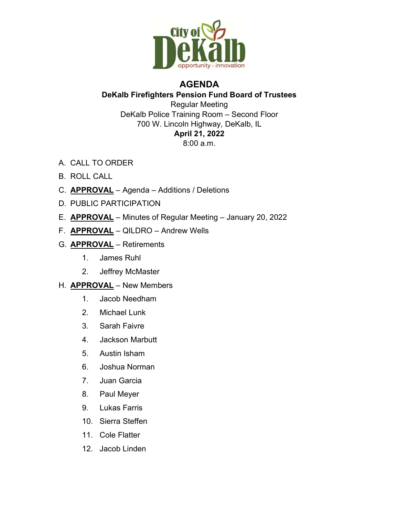

## AGENDA

## DeKalb Firefighters Pension Fund Board of Trustees Regular Meeting DeKalb Police Training Room – Second Floor 700 W. Lincoln Highway, DeKalb, IL April 21, 2022

- 8:00 a.m.
- A. CALL TO ORDER
- B. ROLL CALL
- C. APPROVAL Agenda Additions / Deletions
- D. PUBLIC PARTICIPATION
- E. APPROVAL Minutes of Regular Meeting January 20, 2022
- F. **APPROVAL** QILDRO Andrew Wells
- G. APPROVAL Retirements
	- 1. James Ruhl
	- 2. Jeffrey McMaster
- H. APPROVAL New Members
	- 1. Jacob Needham
	- 2. Michael Lunk
	- 3. Sarah Faivre
	- 4. Jackson Marbutt
	- 5. Austin Isham
	- 6. Joshua Norman
	- 7. Juan Garcia
	- 8. Paul Meyer
	- 9. Lukas Farris
	- 10. Sierra Steffen
	- 11. Cole Flatter
	- 12. Jacob Linden